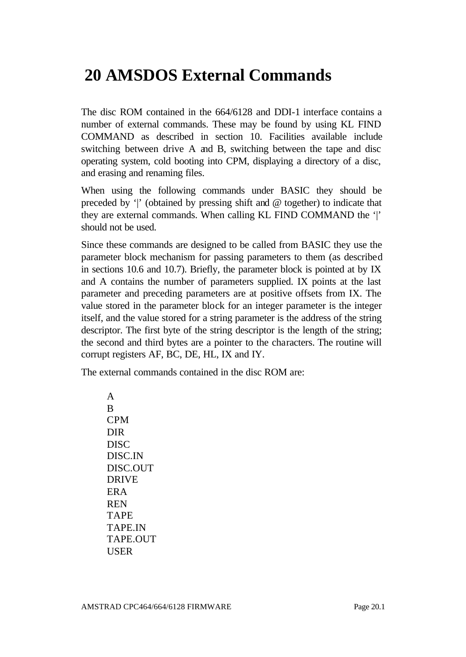# **20 AMSDOS External Commands**

The disc ROM contained in the 664/6128 and DDI-1 interface contains a number of external commands. These may be found by using KL FIND COMMAND as described in section 10. Facilities available include switching between drive A and B, switching between the tape and disc operating system, cold booting into CPM, displaying a directory of a disc, and erasing and renaming files.

When using the following commands under BASIC they should be preceded by '|' (obtained by pressing shift and @ together) to indicate that they are external commands. When calling KL FIND COMMAND the '|' should not be used.

Since these commands are designed to be called from BASIC they use the parameter block mechanism for passing parameters to them (as described in sections 10.6 and 10.7). Briefly, the parameter block is pointed at by IX and A contains the number of parameters supplied. IX points at the last parameter and preceding parameters are at positive offsets from IX. The value stored in the parameter block for an integer parameter is the integer itself, and the value stored for a string parameter is the address of the string descriptor. The first byte of the string descriptor is the length of the string; the second and third bytes are a pointer to the characters. The routine will corrupt registers AF, BC, DE, HL, IX and IY.

The external commands contained in the disc ROM are:

A  $\overline{R}$ CPM DIR DISC DISC.IN DISC.OUT DRIVE ERA REN TAPE TAPE.IN TAPE.OUT USER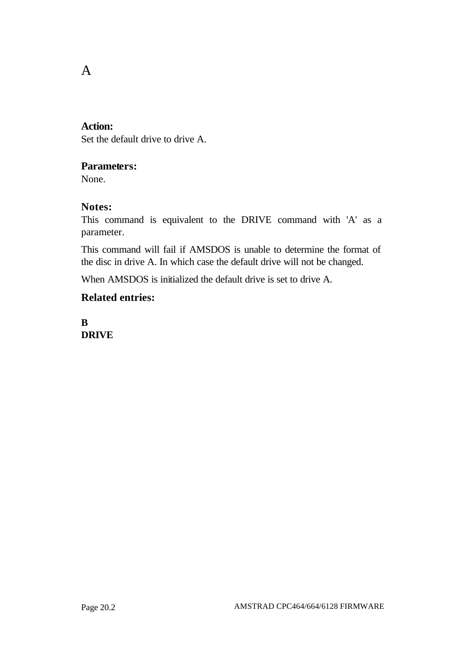## A

#### **Action:**

Set the default drive to drive A.

## **Parameters:**

None.

### **Notes:**

This command is equivalent to the DRIVE command with 'A' as a parameter.

This command will fail if AMSDOS is unable to determine the format of the disc in drive A. In which case the default drive will not be changed.

When AMSDOS is initialized the default drive is set to drive A.

## **Related entries:**

**B DRIVE**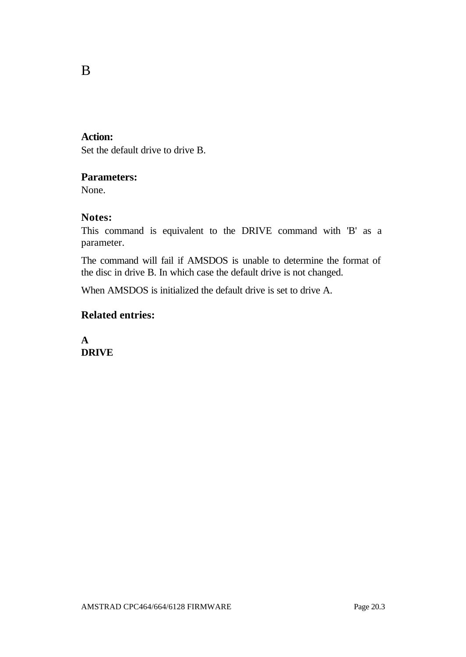## **Action:**

B

Set the default drive to drive B.

#### **Parameters:**

None.

## **Notes:**

This command is equivalent to the DRIVE command with 'B' as a parameter.

The command will fail if AMSDOS is unable to determine the format of the disc in drive B. In which case the default drive is not changed.

When AMSDOS is initialized the default drive is set to drive A.

## **Related entries:**

**A DRIVE**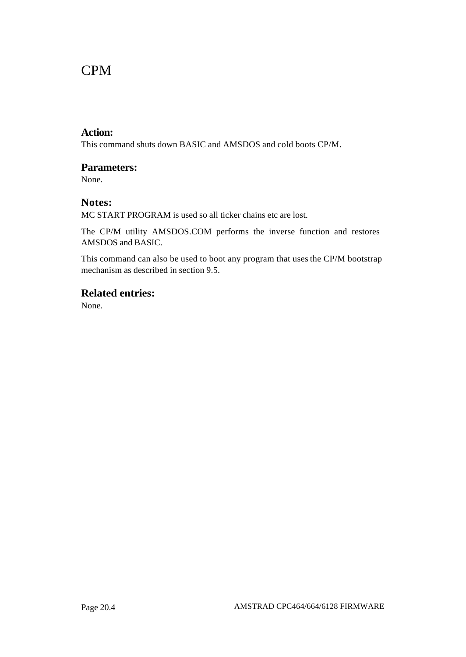## CPM

#### **Action:**

This command shuts down BASIC and AMSDOS and cold boots CP/M.

#### **Parameters:**

None.

#### **Notes:**

MC START PROGRAM is used so all ticker chains etc are lost.

The CP/M utility AMSDOS.COM performs the inverse function and restores AMSDOS and BASIC.

This command can also be used to boot any program that uses the CP/M bootstrap mechanism as described in section 9.5.

## **Related entries:**

None.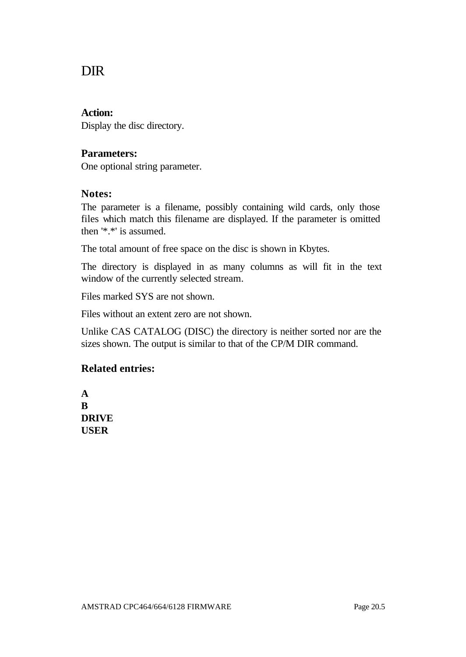## DIR

#### **Action:**

Display the disc directory.

#### **Parameters:**

One optional string parameter.

### **Notes:**

The parameter is a filename, possibly containing wild cards, only those files which match this filename are displayed. If the parameter is omitted then '\*.\*' is assumed.

The total amount of free space on the disc is shown in Kbytes.

The directory is displayed in as many columns as will fit in the text window of the currently selected stream.

Files marked SYS are not shown.

Files without an extent zero are not shown.

Unlike CAS CATALOG (DISC) the directory is neither sorted nor are the sizes shown. The output is similar to that of the CP/M DIR command.

## **Related entries:**

**A B DRIVE USER**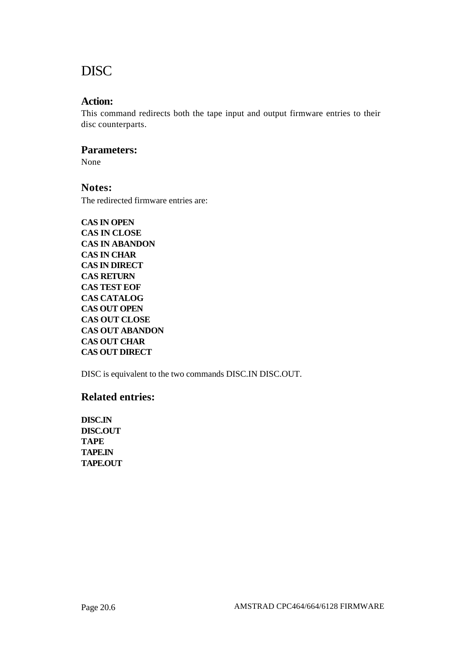## DISC

#### **Action:**

This command redirects both the tape input and output firmware entries to their disc counterparts.

#### **Parameters:**

None

#### **Notes:**

The redirected firmware entries are:

**CAS IN OPEN CAS IN CLOSE CAS IN ABANDON CAS IN CHAR CAS IN DIRECT CAS RETURN CAS TEST EOF CAS CATALOG CAS OUT OPEN CAS OUT CLOSE CAS OUT ABANDON CAS OUT CHAR CAS OUT DIRECT**

DISC is equivalent to the two commands DISC.IN DISC.OUT.

### **Related entries:**

**DISC.IN DISC.OUT TAPE TAPE.IN TAPE.OUT**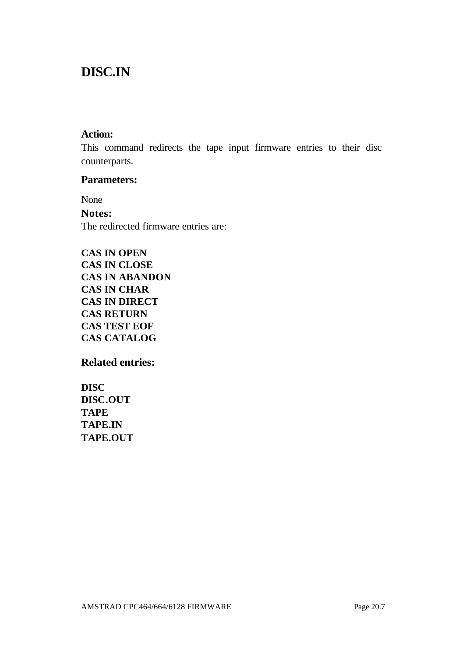## **DISC.IN**

#### **Action:**

This command redirects the tape input firmware entries to their disc counterparts.

## **Parameters:**

None **Notes:** The redirected firmware entries are:

**CAS IN OPEN CAS IN CLOSE CAS IN ABANDON CAS IN CHAR CAS IN DIRECT CAS RETURN CAS TEST EOF CAS CATALOG**

**Related entries:**

**DISC DISC.OUT TAPE TAPE.IN TAPE.OUT**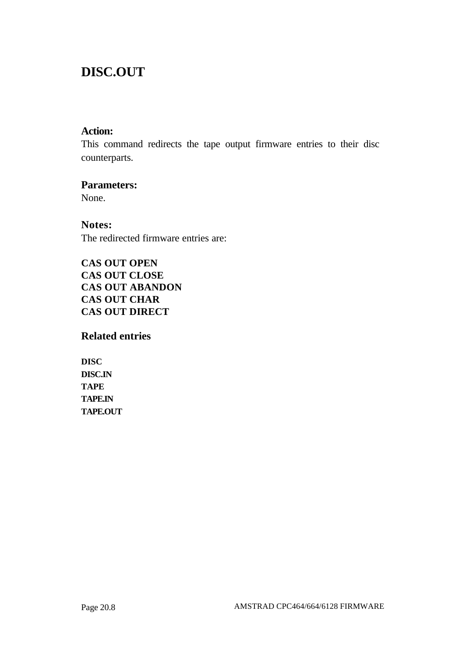## **DISC.OUT**

## **Action:**

This command redirects the tape output firmware entries to their disc counterparts.

#### **Parameters:**

None.

**Notes:** The redirected firmware entries are:

**CAS OUT OPEN CAS OUT CLOSE CAS OUT ABANDON CAS OUT CHAR CAS OUT DIRECT**

**Related entries**

**DISC DISC.IN TAPE TAPE.IN TAPE.OUT**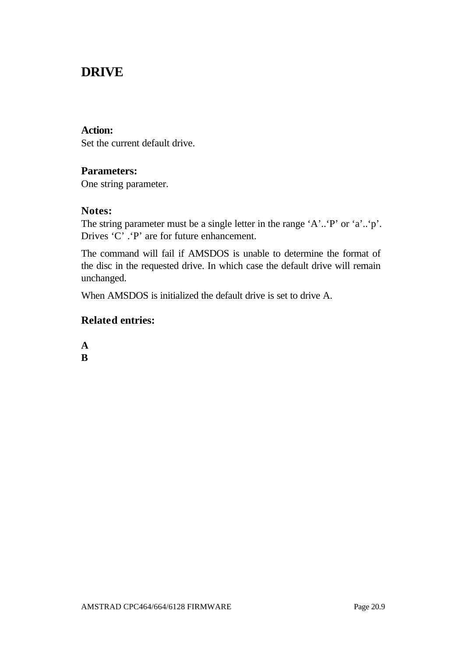## **DRIVE**

#### **Action:**

Set the current default drive.

## **Parameters:**

One string parameter.

### **Notes:**

The string parameter must be a single letter in the range 'A'..'P' or 'a'..'p'. Drives 'C' .'P' are for future enhancement.

The command will fail if AMSDOS is unable to determine the format of the disc in the requested drive. In which case the default drive will remain unchanged.

When AMSDOS is initialized the default drive is set to drive A.

## **Related entries:**

**A B**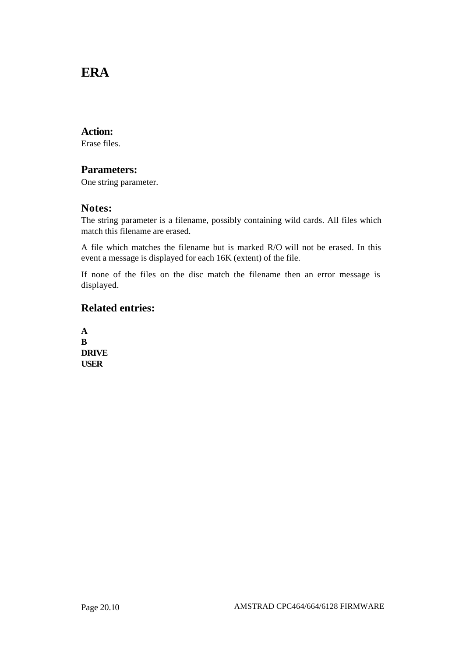## **ERA**

#### **Action:**

Erase files.

#### **Parameters:**

One string parameter.

#### **Notes:**

The string parameter is a filename, possibly containing wild cards. All files which match this filename are erased.

A file which matches the filename but is marked R/O will not be erased. In this event a message is displayed for each 16K (extent) of the file.

If none of the files on the disc match the filename then an error message is displayed.

## **Related entries:**

**A B DRIVE USER**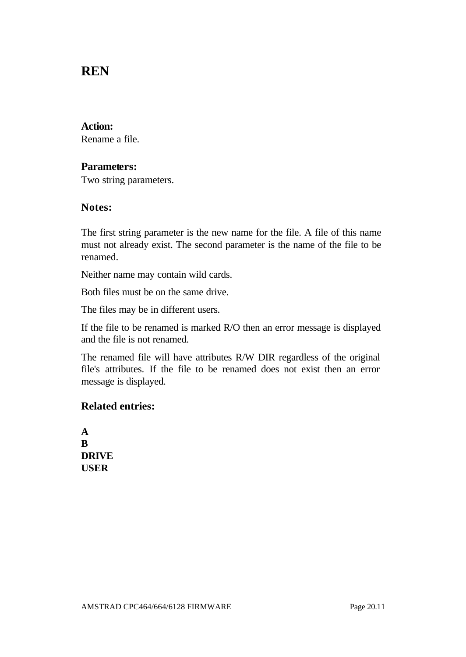## **REN**

#### **Action:**

Rename a file.

#### **Parameters:**

Two string parameters.

#### **Notes:**

The first string parameter is the new name for the file. A file of this name must not already exist. The second parameter is the name of the file to be renamed.

Neither name may contain wild cards.

Both files must be on the same drive.

The files may be in different users.

If the file to be renamed is marked R/O then an error message is displayed and the file is not renamed.

The renamed file will have attributes R/W DIR regardless of the original file's attributes. If the file to be renamed does not exist then an error message is displayed.

### **Related entries:**

**A B DRIVE USER**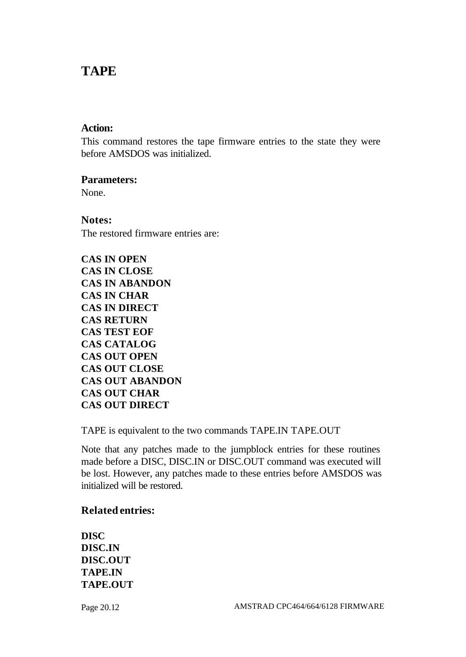## **TAPE**

#### **Action:**

This command restores the tape firmware entries to the state they were before AMSDOS was initialized.

### **Parameters:**

None.

**Notes:**

The restored firmware entries are:

**CAS IN OPEN CAS IN CLOSE CAS IN ABANDON CAS IN CHAR CAS IN DIRECT CAS RETURN CAS TEST EOF CAS CATALOG CAS OUT OPEN CAS OUT CLOSE CAS OUT ABANDON CAS OUT CHAR CAS OUT DIRECT**

TAPE is equivalent to the two commands TAPE.IN TAPE.OUT

Note that any patches made to the jumpblock entries for these routines made before a DISC, DISC.IN or DISC.OUT command was executed will be lost. However, any patches made to these entries before AMSDOS was initialized will be restored.

### **Related entries:**

**DISC DISC.IN DISC.OUT TAPE.IN TAPE.OUT**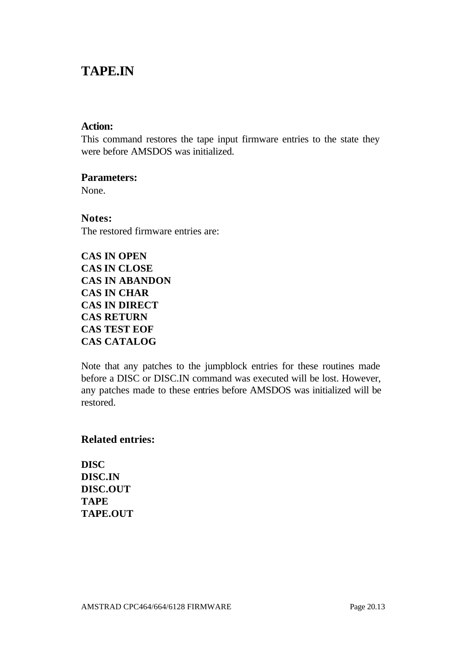## **TAPE.IN**

#### **Action:**

This command restores the tape input firmware entries to the state they were before AMSDOS was initialized.

#### **Parameters:**

None.

**Notes:** The restored firmware entries are:

| <b>CAS IN OPEN</b>    |
|-----------------------|
| <b>CAS IN CLOSE</b>   |
| <b>CAS IN ABANDON</b> |
| <b>CAS IN CHAR</b>    |
| <b>CAS IN DIRECT</b>  |
| <b>CAS RETURN</b>     |
| <b>CAS TEST EOF</b>   |
| <b>CAS CATALOG</b>    |

Note that any patches to the jumpblock entries for these routines made before a DISC or DISC.IN command was executed will be lost. However, any patches made to these entries before AMSDOS was initialized will be restored.

### **Related entries:**

**DISC DISC.IN DISC.OUT TAPE TAPE.OUT**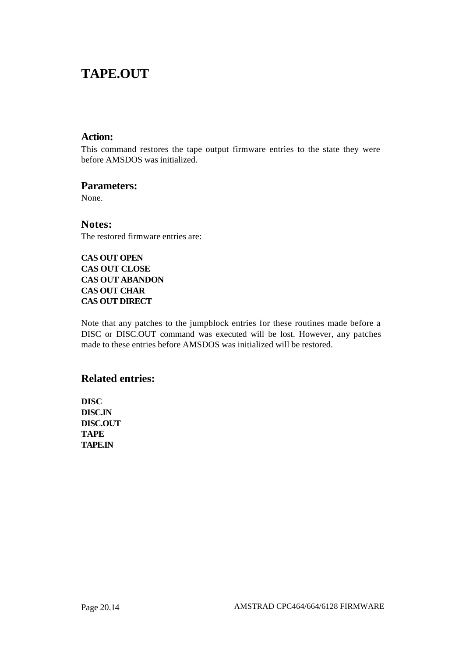## **TAPE.OUT**

#### **Action:**

This command restores the tape output firmware entries to the state they were before AMSDOS was initialized.

#### **Parameters:**

None.

**Notes:** The restored firmware entries are:

#### **CAS OUT OPEN CAS OUT CLOSE CAS OUT ABANDON CAS OUT CHAR CAS OUT DIRECT**

Note that any patches to the jumpblock entries for these routines made before a DISC or DISC.OUT command was executed will be lost. However, any patches made to these entries before AMSDOS was initialized will be restored.

### **Related entries:**

**DISC DISC.IN DISC.OUT TAPE TAPE.IN**